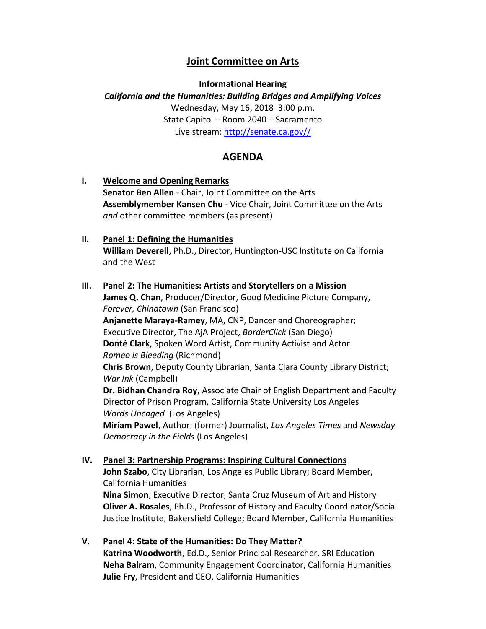## **Joint Committee on Arts**

**Informational Hearing**

*California and the Humanities: Building Bridges and Amplifying Voices* Wednesday, May 16, 2018 3:00 p.m. State Capitol – Room 2040 – Sacramento Live stream: [http://senate.ca.gov//](http://senate.ca.gov/)

## **AGENDA**

- **I. Welcome and Opening Remarks Senator Ben Allen** - Chair, Joint Committee on the Arts **Assemblymember Kansen Chu** - Vice Chair, Joint Committee on the Arts *and* other committee members (as present)
- **II. Panel 1: Defining the Humanities William Deverell**, Ph.D., Director, Huntington-USC Institute on California and the West
- **III. Panel 2: The Humanities: Artists and Storytellers on a Mission James Q. Chan**, Producer/Director, Good Medicine Picture Company, *Forever, Chinatown* (San Francisco) **Anjanette Maraya-Ramey**, MA, CNP, Dancer and Choreographer; Executive Director, The AjA Project, *BorderClick* (San Diego) **Donté Clark**, Spoken Word Artist, Community Activist and Actor *Romeo is Bleeding* (Richmond) **Chris Brown**, Deputy County Librarian, Santa Clara County Library District; *War Ink* (Campbell) **Dr. Bidhan Chandra Roy**, Associate Chair of English Department and Faculty Director of Prison Program, California State University Los Angeles *Words Uncaged* (Los Angeles) **Miriam Pawel**, Author; (former) Journalist, *Los Angeles Times* and *Newsday Democracy in the Fields* (Los Angeles)
- **IV. Panel 3: Partnership Programs: Inspiring Cultural Connections John Szabo**, City Librarian, Los Angeles Public Library; Board Member, California Humanities **Nina Simon**, Executive Director, Santa Cruz Museum of Art and History **Oliver A. Rosales**, Ph.D., Professor of History and Faculty Coordinator/Social Justice Institute, Bakersfield College; Board Member, California Humanities
- **V. Panel 4: State of the Humanities: Do They Matter? Katrina Woodworth**, Ed.D., Senior Principal Researcher, SRI Education **Neha Balram**, Community Engagement Coordinator, California Humanities **Julie Fry**, President and CEO, California Humanities